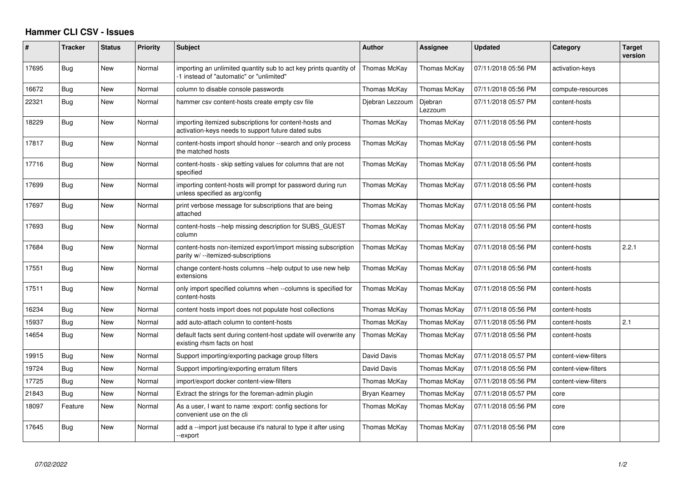## **Hammer CLI CSV - Issues**

| #     | <b>Tracker</b> | <b>Status</b> | <b>Priority</b> | <b>Subject</b>                                                                                                | <b>Author</b>   | Assignee           | <b>Updated</b>      | Category             | <b>Target</b><br>version |
|-------|----------------|---------------|-----------------|---------------------------------------------------------------------------------------------------------------|-----------------|--------------------|---------------------|----------------------|--------------------------|
| 17695 | <b>Bug</b>     | New           | Normal          | importing an unlimited quantity sub to act key prints quantity of<br>-1 instead of "automatic" or "unlimited" | Thomas McKay    | Thomas McKay       | 07/11/2018 05:56 PM | activation-keys      |                          |
| 16672 | Bug            | New           | Normal          | column to disable console passwords                                                                           | Thomas McKay    | Thomas McKay       | 07/11/2018 05:56 PM | compute-resources    |                          |
| 22321 | Bug            | New           | Normal          | hammer csv content-hosts create empty csv file                                                                | Diebran Lezzoum | Diebran<br>Lezzoum | 07/11/2018 05:57 PM | content-hosts        |                          |
| 18229 | Bug            | New           | Normal          | importing itemized subscriptions for content-hosts and<br>activation-keys needs to support future dated subs  | Thomas McKay    | Thomas McKav       | 07/11/2018 05:56 PM | content-hosts        |                          |
| 17817 | Bug            | <b>New</b>    | Normal          | content-hosts import should honor --search and only process<br>the matched hosts                              | Thomas McKay    | Thomas McKay       | 07/11/2018 05:56 PM | content-hosts        |                          |
| 17716 | Bug            | New           | Normal          | content-hosts - skip setting values for columns that are not<br>specified                                     | Thomas McKav    | Thomas McKay       | 07/11/2018 05:56 PM | content-hosts        |                          |
| 17699 | Bug            | New           | Normal          | importing content-hosts will prompt for password during run<br>unless specified as arg/config                 | Thomas McKay    | Thomas McKay       | 07/11/2018 05:56 PM | content-hosts        |                          |
| 17697 | Bug            | New           | Normal          | print verbose message for subscriptions that are being<br>attached                                            | Thomas McKay    | Thomas McKay       | 07/11/2018 05:56 PM | content-hosts        |                          |
| 17693 | Bug            | New           | Normal          | content-hosts --help missing description for SUBS GUEST<br>column                                             | Thomas McKay    | Thomas McKay       | 07/11/2018 05:56 PM | content-hosts        |                          |
| 17684 | <b>Bug</b>     | New           | Normal          | content-hosts non-itemized export/import missing subscription<br>parity w/ --itemized-subscriptions           | Thomas McKay    | Thomas McKay       | 07/11/2018 05:56 PM | content-hosts        | 2.2.1                    |
| 17551 | Bug            | New           | Normal          | change content-hosts columns --help output to use new help<br>extensions                                      | Thomas McKay    | Thomas McKay       | 07/11/2018 05:56 PM | content-hosts        |                          |
| 17511 | Bug            | New           | Normal          | only import specified columns when --columns is specified for<br>content-hosts                                | Thomas McKay    | Thomas McKay       | 07/11/2018 05:56 PM | content-hosts        |                          |
| 16234 | Bug            | New           | Normal          | content hosts import does not populate host collections                                                       | Thomas McKay    | Thomas McKay       | 07/11/2018 05:56 PM | content-hosts        |                          |
| 15937 | Bug            | New           | Normal          | add auto-attach column to content-hosts                                                                       | Thomas McKay    | Thomas McKay       | 07/11/2018 05:56 PM | content-hosts        | 2.1                      |
| 14654 | Bug            | <b>New</b>    | Normal          | default facts sent during content-host update will overwrite any<br>existing rhsm facts on host               | Thomas McKay    | Thomas McKay       | 07/11/2018 05:56 PM | content-hosts        |                          |
| 19915 | Bug            | New           | Normal          | Support importing/exporting package group filters                                                             | David Davis     | Thomas McKay       | 07/11/2018 05:57 PM | content-view-filters |                          |
| 19724 | Bug            | New           | Normal          | Support importing/exporting erratum filters                                                                   | David Davis     | Thomas McKay       | 07/11/2018 05:56 PM | content-view-filters |                          |
| 17725 | Bug            | New           | Normal          | import/export docker content-view-filters                                                                     | Thomas McKay    | Thomas McKay       | 07/11/2018 05:56 PM | content-view-filters |                          |
| 21843 | Bug            | New           | Normal          | Extract the strings for the foreman-admin plugin                                                              | Bryan Kearney   | Thomas McKay       | 07/11/2018 05:57 PM | core                 |                          |
| 18097 | Feature        | New           | Normal          | As a user, I want to name : export: config sections for<br>convenient use on the cli                          | Thomas McKay    | Thomas McKay       | 07/11/2018 05:56 PM | core                 |                          |
| 17645 | Bug            | New           | Normal          | add a --import just because it's natural to type it after using<br>--export                                   | Thomas McKav    | Thomas McKay       | 07/11/2018 05:56 PM | core                 |                          |